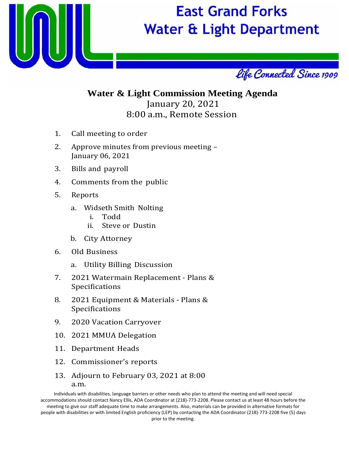

## **East Grand Forks Water & Light Department**



### **Water & Light Commission Meeting Agenda** January 20, 2021 8:00 a.m., Remote Session

- 1. Call meeting to order
- 2. Approve minutes from previous meeting January 06, 2021
- 3. Bills and payroll
- 4. Comments from the public
- 5. Reports
	- a. Widseth Smith Nolting
		- i. Todd
		- Steve or Dustin
	- b. City Attorney
- 6. Old Business
	- a. Utility Billing Discussion
- 7. 2021 Watermain Replacement Plans & Specifications
- 8. 2021 Equipment & Materials Plans & Specifications
- 9. 2020 Vacation Carryover
- 10. 2021 MMUA Delegation
- 11. Department Heads
- 12. Commissioner's reports
- 13. Adjourn to February 03, 2021 at 8:00 a.m.

Individuals with disabilities, language barriers or other needs who plan to attend the meeting and will need special accommodations should contact Nancy Ellis, ADA Coordinator at (218)‐773‐2208. Please contact us at least 48 hours before the meeting to give our staff adequate time to make arrangements. Also, materials can be provided in alternative formats for people with disabilities or with limited English proficiency (LEP) by contacting the ADA Coordinator (218)‐773‐2208 five (5) days prior to the meeting.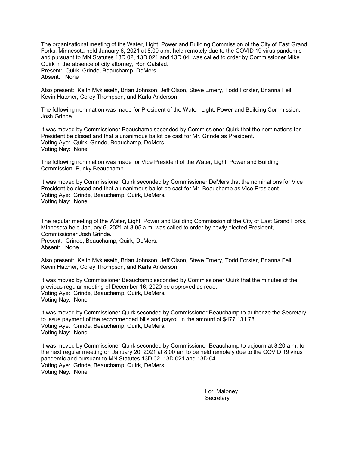The organizational meeting of the Water, Light, Power and Building Commission of the City of East Grand Forks, Minnesota held January 6, 2021 at 8:00 a.m. held remotely due to the COVID 19 virus pandemic and pursuant to MN Statutes 13D.02, 13D.021 and 13D.04, was called to order by Commissioner Mike Quirk in the absence of city attorney, Ron Galstad. Present: Quirk, Grinde, Beauchamp, DeMers Absent: None

Also present: Keith Mykleseth, Brian Johnson, Jeff Olson, Steve Emery, Todd Forster, Brianna Feil, Kevin Hatcher, Corey Thompson, and Karla Anderson.

The following nomination was made for President of the Water, Light, Power and Building Commission: Josh Grinde.

It was moved by Commissioner Beauchamp seconded by Commissioner Quirk that the nominations for President be closed and that a unanimous ballot be cast for Mr. Grinde as President. Voting Aye: Quirk, Grinde, Beauchamp, DeMers Voting Nay: None

The following nomination was made for Vice President of the Water, Light, Power and Building Commission: Punky Beauchamp.

It was moved by Commissioner Quirk seconded by Commissioner DeMers that the nominations for Vice President be closed and that a unanimous ballot be cast for Mr. Beauchamp as Vice President. Voting Aye: Grinde, Beauchamp, Quirk, DeMers. Voting Nay: None

The regular meeting of the Water, Light, Power and Building Commission of the City of East Grand Forks, Minnesota held January 6, 2021 at 8:05 a.m. was called to order by newly elected President, Commissioner Josh Grinde. Present: Grinde, Beauchamp, Quirk, DeMers.

Absent: None

Also present: Keith Mykleseth, Brian Johnson, Jeff Olson, Steve Emery, Todd Forster, Brianna Feil, Kevin Hatcher, Corey Thompson, and Karla Anderson.

It was moved by Commissioner Beauchamp seconded by Commissioner Quirk that the minutes of the previous regular meeting of December 16, 2020 be approved as read. Voting Aye: Grinde, Beauchamp, Quirk, DeMers. Voting Nay: None

It was moved by Commissioner Quirk seconded by Commissioner Beauchamp to authorize the Secretary to issue payment of the recommended bills and payroll in the amount of \$477,131.78. Voting Aye: Grinde, Beauchamp, Quirk, DeMers. Voting Nay: None

It was moved by Commissioner Quirk seconded by Commissioner Beauchamp to adjourn at 8:20 a.m. to the next regular meeting on January 20, 2021 at 8:00 am to be held remotely due to the COVID 19 virus pandemic and pursuant to MN Statutes 13D.02, 13D.021 and 13D.04. Voting Aye: Grinde, Beauchamp, Quirk, DeMers. Voting Nay: None

> Lori Maloney **Secretary**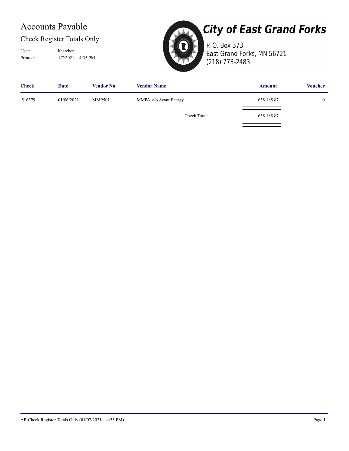### Accounts Payable

### Check Register Totals Only

Printed: 1/7/2021 - 4:35 PM User: khatcher



# **City of East Grand Forks**

P. O. Box 373 East Grand Forks, MN 56721 (218) 773-2483

| <b>Check</b> | Date       | <b>Vendor No</b> | <b>Vendor Name</b>    | <b>Amount</b> | <b>Voucher</b> |
|--------------|------------|------------------|-----------------------|---------------|----------------|
| 516379       | 01/06/2021 | <b>MMP501</b>    | MMPA c/o Avant Energy | 638,185.87    | $\overline{0}$ |
|              |            |                  | Check Total:          | 638,185.87    |                |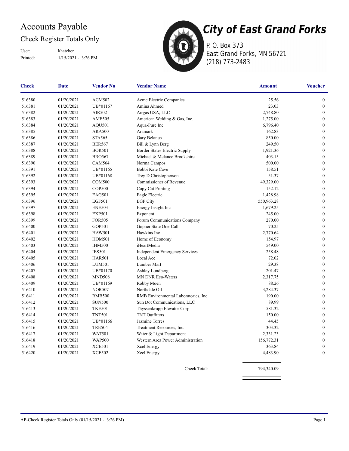### Accounts Payable

### Check Register Totals Only

Printed: 1/15/2021 - 3:26 PM User: khatcher



P. O. Box 373 East Grand Forks, MN 56721 (218) 773-2483

| <b>Check</b> | Date       | <b>Vendor No</b> | <b>Vendor Name</b>                    | <b>Amount</b> | <b>Voucher</b>   |
|--------------|------------|------------------|---------------------------------------|---------------|------------------|
| 516380       | 01/20/2021 | <b>ACM502</b>    | Acme Electric Companies               | 25.56         | $\boldsymbol{0}$ |
| 516381       | 01/20/2021 | UB*01167         | Amina Ahmed                           | 23.03         | $\boldsymbol{0}$ |
| 516382       | 01/20/2021 | AIR502           | Airgas USA, LLC                       | 2,748.80      | $\boldsymbol{0}$ |
| 516383       | 01/20/2021 | <b>AME505</b>    | American Welding & Gas, Inc.          | 1,275.00      | $\boldsymbol{0}$ |
| 516384       | 01/20/2021 | AQU501           | Aqua-Pure Inc                         | 6,796.40      | $\boldsymbol{0}$ |
| 516385       | 01/20/2021 | <b>ARA500</b>    | Aramark                               | 162.83        | $\boldsymbol{0}$ |
| 516386       | 01/20/2021 | <b>STA565</b>    | Gary Belanus                          | 850.00        | $\boldsymbol{0}$ |
| 516387       | 01/20/2021 | <b>BER567</b>    | Bill & Lynn Berg                      | 249.50        | $\boldsymbol{0}$ |
| 516388       | 01/20/2021 | <b>BOR501</b>    | Border States Electric Supply         | 1,921.36      | $\mathbf{0}$     |
| 516389       | 01/20/2021 | <b>BRO567</b>    | Michael & Melanee Brookshire          | 403.15        | $\boldsymbol{0}$ |
| 516390       | 01/20/2021 | <b>CAM564</b>    | Norma Campos                          | 500.00        | $\boldsymbol{0}$ |
| 516391       | 01/20/2021 | UB*01165         | Bobbi Kate Cave                       | 158.51        | $\mathbf{0}$     |
| 516392       | 01/20/2021 | UB*01168         | Trey D Christopherson                 | 51.37         | $\boldsymbol{0}$ |
| 516393       | 01/20/2021 | <b>COM500</b>    | Commissioner of Revenue               | 49,329.00     | $\boldsymbol{0}$ |
| 516394       | 01/20/2021 | <b>COP500</b>    | Copy Cat Printing                     | 152.12        | $\mathbf{0}$     |
| 516395       | 01/20/2021 | <b>EAG501</b>    | Eagle Electric                        | 1,428.98      | $\boldsymbol{0}$ |
| 516396       | 01/20/2021 | <b>EGF501</b>    | <b>EGF City</b>                       | 550,963.28    | $\boldsymbol{0}$ |
| 516397       | 01/20/2021 | <b>ENE503</b>    | Energy Insight Inc                    | 1,679.25      | $\mathbf{0}$     |
| 516398       | 01/20/2021 | <b>EXP501</b>    | Exponent                              | 245.00        | $\boldsymbol{0}$ |
| 516399       | 01/20/2021 | <b>FOR505</b>    | Forum Communications Company          | 270.00        | $\mathbf{0}$     |
| 516400       | 01/20/2021 | GOP501           | Gopher State One-Call                 | 70.25         | $\boldsymbol{0}$ |
| 516401       | 01/20/2021 | <b>HAW501</b>    | Hawkins Inc                           | 2,770.64      | $\boldsymbol{0}$ |
| 516402       | 01/20/2021 | <b>HOM501</b>    | Home of Economy                       | 154.97        | $\boldsymbol{0}$ |
| 516403       | 01/20/2021 | <b>IHM500</b>    | iHeartMedia                           | 549.00        | $\boldsymbol{0}$ |
| 516404       | 01/20/2021 | <b>IES501</b>    | <b>Independent Emergency Services</b> | 258.48        | $\boldsymbol{0}$ |
| 516405       | 01/20/2021 | <b>HAR501</b>    | Local Ace                             | 72.02         | $\boldsymbol{0}$ |
| 516406       | 01/20/2021 | <b>LUM501</b>    | Lumber Mart                           | 29.38         | $\boldsymbol{0}$ |
| 516407       | 01/20/2021 | UB*01170         | Ashley Lundberg                       | 201.47        | $\boldsymbol{0}$ |
| 516408       | 01/20/2021 | <b>MND508</b>    | MN DNR Eco-Waters                     | 2,317.75      | $\boldsymbol{0}$ |
| 516409       | 01/20/2021 | UB*01169         | Robby Moen                            | 88.26         | $\boldsymbol{0}$ |
| 516410       | 01/20/2021 | <b>NOR507</b>    | Northdale Oil                         | 3,284.37      | $\mathbf{0}$     |
| 516411       | 01/20/2021 | <b>RMB500</b>    | RMB Environmental Laboratories, Inc.  | 190.00        | $\boldsymbol{0}$ |
| 516412       | 01/20/2021 | <b>SUN500</b>    | Sun Dot Communications, LLC           | 89.99         | $\boldsymbol{0}$ |
| 516413       | 01/20/2021 | <b>TKE501</b>    | Thyssenkrupp Elevator Corp            | 581.32        | $\mathbf{0}$     |
| 516414       | 01/20/2021 | <b>TNT501</b>    | <b>TNT Outfitters</b>                 | 150.00        | $\boldsymbol{0}$ |
| 516415       | 01/20/2021 | UB*01166         | Jazmine Torres                        | 44.45         | $\boldsymbol{0}$ |
| 516416       | 01/20/2021 | <b>TRE504</b>    | Treatment Resources, Inc.             | 303.32        | $\mathbf{0}$     |
| 516417       | 01/20/2021 | <b>WAT501</b>    | Water & Light Department              | 2,331.23      | $\mathbf{0}$     |
| 516418       | 01/20/2021 | <b>WAP500</b>    | Western Area Power Administration     | 156,772.31    | $\boldsymbol{0}$ |
| 516419       | 01/20/2021 | <b>XCE501</b>    | Xcel Energy                           | 363.84        | $\boldsymbol{0}$ |
| 516420       | 01/20/2021 | <b>XCE502</b>    | Xcel Energy                           | 4,483.90      | $\mathbf{0}$     |
|              |            |                  | Check Total:                          | 794,340.09    |                  |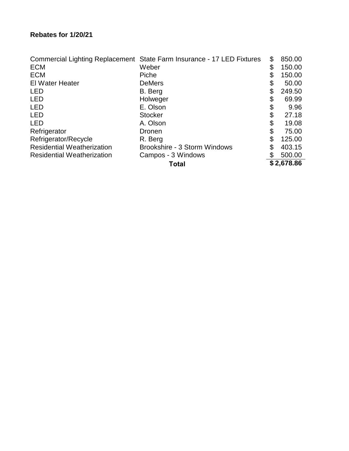|                                   | Commercial Lighting Replacement State Farm Insurance - 17 LED Fixtures | \$<br>850.00 |
|-----------------------------------|------------------------------------------------------------------------|--------------|
| <b>ECM</b>                        | Weber                                                                  | \$<br>150.00 |
| <b>ECM</b>                        | Piche                                                                  | \$<br>150.00 |
| El Water Heater                   | <b>DeMers</b>                                                          | \$<br>50.00  |
| <b>LED</b>                        | B. Berg                                                                | 249.50       |
| <b>LED</b>                        | Holweger                                                               | \$<br>69.99  |
| <b>LED</b>                        | E. Olson                                                               | \$<br>9.96   |
| <b>LED</b>                        | <b>Stocker</b>                                                         | \$<br>27.18  |
| <b>LED</b>                        | A. Olson                                                               | \$<br>19.08  |
| Refrigerator                      | <b>Dronen</b>                                                          | \$<br>75.00  |
| Refrigerator/Recycle              | R. Berg                                                                | 125.00       |
| <b>Residential Weatherization</b> | Brookshire - 3 Storm Windows                                           | \$<br>403.15 |
| <b>Residential Weatherization</b> | Campos - 3 Windows                                                     | 500.00       |
|                                   | <b>Total</b>                                                           | \$2,678.86   |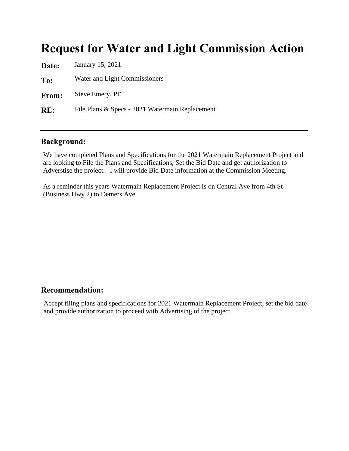### Request for Water and Light Commission Action

| Date:        | January 15, 2021                                |
|--------------|-------------------------------------------------|
| To:          | Water and Light Commissioners                   |
| <b>From:</b> | Steve Emery, PE                                 |
| RE:          | File Plans & Specs - 2021 Watermain Replacement |
|              |                                                 |

#### Background:

We have completed Plans and Specifications for the 2021 Watermain Replacement Project and are looking to File the Plans and Specifications, Set the Bid Date and get authorization to Adverstise the project. I will provide Bid Date information at the Commission Meeting.

As a reminder this years Watermain Replacement Project is on Central Ave from 4th St (Business Hwy 2) to Demers Ave.

#### Recommendation:

Accept filing plans and specifications for 2021 Watermain Replacement Project, set the bid date and provide authorization to proceed with Advertising of the project.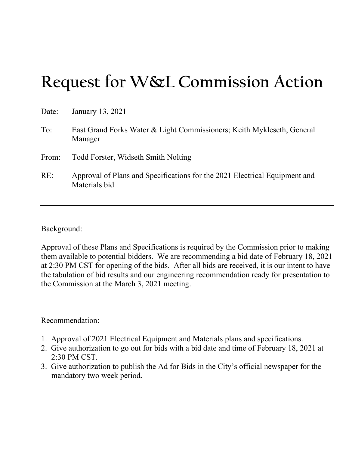# **Request for W&L Commission Action**

| Date: | January 13, 2021                                                                            |
|-------|---------------------------------------------------------------------------------------------|
| To:   | East Grand Forks Water & Light Commissioners; Keith Mykleseth, General<br>Manager           |
| From: | Todd Forster, Widseth Smith Nolting                                                         |
| RE:   | Approval of Plans and Specifications for the 2021 Electrical Equipment and<br>Materials bid |

Background:

Approval of these Plans and Specifications is required by the Commission prior to making them available to potential bidders. We are recommending a bid date of February 18, 2021 at 2:30 PM CST for opening of the bids. After all bids are received, it is our intent to have the tabulation of bid results and our engineering recommendation ready for presentation to the Commission at the March 3, 2021 meeting.

Recommendation:

- 1. Approval of 2021 Electrical Equipment and Materials plans and specifications.
- 2. Give authorization to go out for bids with a bid date and time of February 18, 2021 at 2:30 PM CST.
- 3. Give authorization to publish the Ad for Bids in the City's official newspaper for the mandatory two week period.